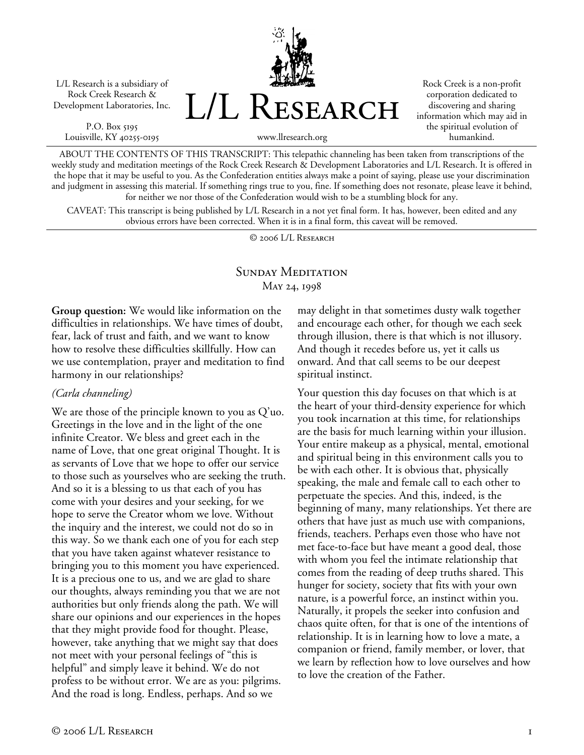L/L Research is a subsidiary of Rock Creek Research & Development Laboratories, Inc.

P.O. Box 5195 Louisville, KY 40255-0195



Rock Creek is a non-profit corporation dedicated to discovering and sharing information which may aid in the spiritual evolution of humankind.

www.llresearch.org

ABOUT THE CONTENTS OF THIS TRANSCRIPT: This telepathic channeling has been taken from transcriptions of the weekly study and meditation meetings of the Rock Creek Research & Development Laboratories and L/L Research. It is offered in the hope that it may be useful to you. As the Confederation entities always make a point of saying, please use your discrimination and judgment in assessing this material. If something rings true to you, fine. If something does not resonate, please leave it behind, for neither we nor those of the Confederation would wish to be a stumbling block for any.

CAVEAT: This transcript is being published by L/L Research in a not yet final form. It has, however, been edited and any obvious errors have been corrected. When it is in a final form, this caveat will be removed.

© 2006 L/L Research

## SUNDAY MEDITATION May 24, 1998

**Group question:** We would like information on the difficulties in relationships. We have times of doubt, fear, lack of trust and faith, and we want to know how to resolve these difficulties skillfully. How can we use contemplation, prayer and meditation to find harmony in our relationships?

## *(Carla channeling)*

We are those of the principle known to you as Q'uo. Greetings in the love and in the light of the one infinite Creator. We bless and greet each in the name of Love, that one great original Thought. It is as servants of Love that we hope to offer our service to those such as yourselves who are seeking the truth. And so it is a blessing to us that each of you has come with your desires and your seeking, for we hope to serve the Creator whom we love. Without the inquiry and the interest, we could not do so in this way. So we thank each one of you for each step that you have taken against whatever resistance to bringing you to this moment you have experienced. It is a precious one to us, and we are glad to share our thoughts, always reminding you that we are not authorities but only friends along the path. We will share our opinions and our experiences in the hopes that they might provide food for thought. Please, however, take anything that we might say that does not meet with your personal feelings of "this is helpful" and simply leave it behind. We do not profess to be without error. We are as you: pilgrims. And the road is long. Endless, perhaps. And so we

may delight in that sometimes dusty walk together and encourage each other, for though we each seek through illusion, there is that which is not illusory. And though it recedes before us, yet it calls us onward. And that call seems to be our deepest spiritual instinct.

Your question this day focuses on that which is at the heart of your third-density experience for which you took incarnation at this time, for relationships are the basis for much learning within your illusion. Your entire makeup as a physical, mental, emotional and spiritual being in this environment calls you to be with each other. It is obvious that, physically speaking, the male and female call to each other to perpetuate the species. And this, indeed, is the beginning of many, many relationships. Yet there are others that have just as much use with companions, friends, teachers. Perhaps even those who have not met face-to-face but have meant a good deal, those with whom you feel the intimate relationship that comes from the reading of deep truths shared. This hunger for society, society that fits with your own nature, is a powerful force, an instinct within you. Naturally, it propels the seeker into confusion and chaos quite often, for that is one of the intentions of relationship. It is in learning how to love a mate, a companion or friend, family member, or lover, that we learn by reflection how to love ourselves and how to love the creation of the Father.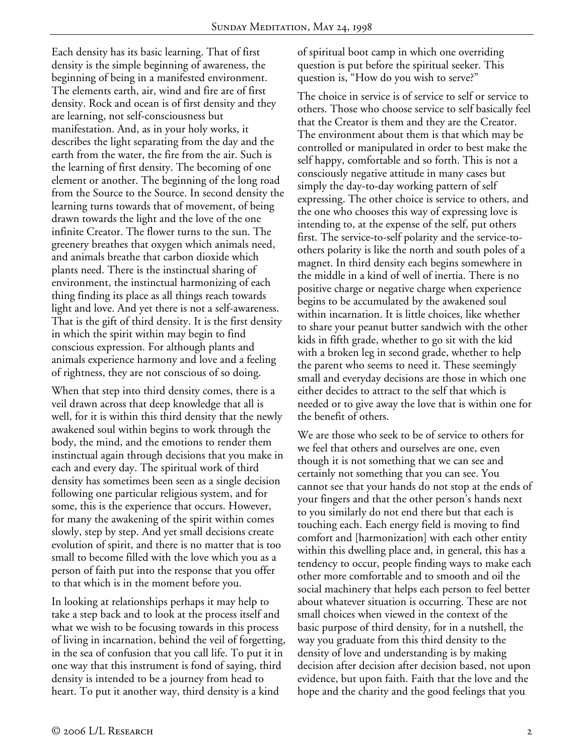Each density has its basic learning. That of first density is the simple beginning of awareness, the beginning of being in a manifested environment. The elements earth, air, wind and fire are of first density. Rock and ocean is of first density and they are learning, not self-consciousness but manifestation. And, as in your holy works, it describes the light separating from the day and the earth from the water, the fire from the air. Such is the learning of first density. The becoming of one element or another. The beginning of the long road from the Source to the Source. In second density the learning turns towards that of movement, of being drawn towards the light and the love of the one infinite Creator. The flower turns to the sun. The greenery breathes that oxygen which animals need, and animals breathe that carbon dioxide which plants need. There is the instinctual sharing of environment, the instinctual harmonizing of each thing finding its place as all things reach towards light and love. And yet there is not a self-awareness. That is the gift of third density. It is the first density in which the spirit within may begin to find conscious expression. For although plants and animals experience harmony and love and a feeling of rightness, they are not conscious of so doing.

When that step into third density comes, there is a veil drawn across that deep knowledge that all is well, for it is within this third density that the newly awakened soul within begins to work through the body, the mind, and the emotions to render them instinctual again through decisions that you make in each and every day. The spiritual work of third density has sometimes been seen as a single decision following one particular religious system, and for some, this is the experience that occurs. However, for many the awakening of the spirit within comes slowly, step by step. And yet small decisions create evolution of spirit, and there is no matter that is too small to become filled with the love which you as a person of faith put into the response that you offer to that which is in the moment before you.

In looking at relationships perhaps it may help to take a step back and to look at the process itself and what we wish to be focusing towards in this process of living in incarnation, behind the veil of forgetting, in the sea of confusion that you call life. To put it in one way that this instrument is fond of saying, third density is intended to be a journey from head to heart. To put it another way, third density is a kind

of spiritual boot camp in which one overriding question is put before the spiritual seeker. This question is, "How do you wish to serve?"

The choice in service is of service to self or service to others. Those who choose service to self basically feel that the Creator is them and they are the Creator. The environment about them is that which may be controlled or manipulated in order to best make the self happy, comfortable and so forth. This is not a consciously negative attitude in many cases but simply the day-to-day working pattern of self expressing. The other choice is service to others, and the one who chooses this way of expressing love is intending to, at the expense of the self, put others first. The service-to-self polarity and the service-toothers polarity is like the north and south poles of a magnet. In third density each begins somewhere in the middle in a kind of well of inertia. There is no positive charge or negative charge when experience begins to be accumulated by the awakened soul within incarnation. It is little choices, like whether to share your peanut butter sandwich with the other kids in fifth grade, whether to go sit with the kid with a broken leg in second grade, whether to help the parent who seems to need it. These seemingly small and everyday decisions are those in which one either decides to attract to the self that which is needed or to give away the love that is within one for the benefit of others.

We are those who seek to be of service to others for we feel that others and ourselves are one, even though it is not something that we can see and certainly not something that you can see. You cannot see that your hands do not stop at the ends of your fingers and that the other person's hands next to you similarly do not end there but that each is touching each. Each energy field is moving to find comfort and [harmonization] with each other entity within this dwelling place and, in general, this has a tendency to occur, people finding ways to make each other more comfortable and to smooth and oil the social machinery that helps each person to feel better about whatever situation is occurring. These are not small choices when viewed in the context of the basic purpose of third density, for in a nutshell, the way you graduate from this third density to the density of love and understanding is by making decision after decision after decision based, not upon evidence, but upon faith. Faith that the love and the hope and the charity and the good feelings that you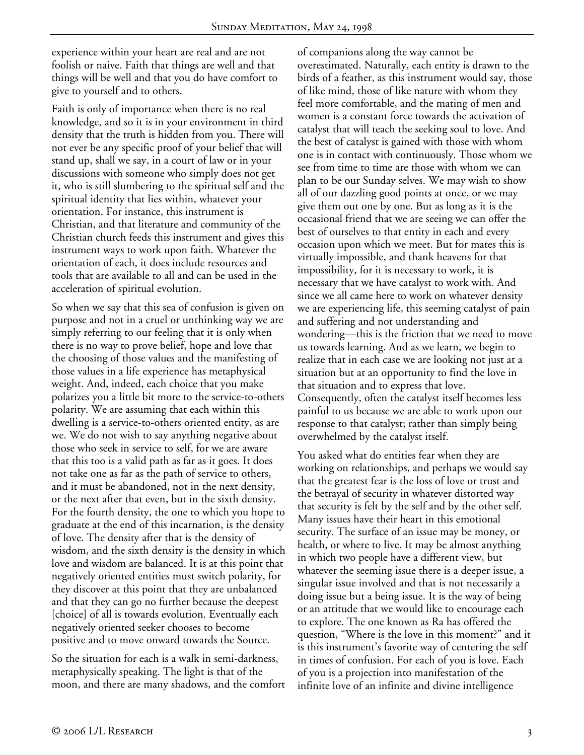experience within your heart are real and are not foolish or naive. Faith that things are well and that things will be well and that you do have comfort to give to yourself and to others.

Faith is only of importance when there is no real knowledge, and so it is in your environment in third density that the truth is hidden from you. There will not ever be any specific proof of your belief that will stand up, shall we say, in a court of law or in your discussions with someone who simply does not get it, who is still slumbering to the spiritual self and the spiritual identity that lies within, whatever your orientation. For instance, this instrument is Christian, and that literature and community of the Christian church feeds this instrument and gives this instrument ways to work upon faith. Whatever the orientation of each, it does include resources and tools that are available to all and can be used in the acceleration of spiritual evolution.

So when we say that this sea of confusion is given on purpose and not in a cruel or unthinking way we are simply referring to our feeling that it is only when there is no way to prove belief, hope and love that the choosing of those values and the manifesting of those values in a life experience has metaphysical weight. And, indeed, each choice that you make polarizes you a little bit more to the service-to-others polarity. We are assuming that each within this dwelling is a service-to-others oriented entity, as are we. We do not wish to say anything negative about those who seek in service to self, for we are aware that this too is a valid path as far as it goes. It does not take one as far as the path of service to others, and it must be abandoned, not in the next density, or the next after that even, but in the sixth density. For the fourth density, the one to which you hope to graduate at the end of this incarnation, is the density of love. The density after that is the density of wisdom, and the sixth density is the density in which love and wisdom are balanced. It is at this point that negatively oriented entities must switch polarity, for they discover at this point that they are unbalanced and that they can go no further because the deepest [choice] of all is towards evolution. Eventually each negatively oriented seeker chooses to become positive and to move onward towards the Source.

So the situation for each is a walk in semi-darkness, metaphysically speaking. The light is that of the moon, and there are many shadows, and the comfort of companions along the way cannot be overestimated. Naturally, each entity is drawn to the birds of a feather, as this instrument would say, those of like mind, those of like nature with whom they feel more comfortable, and the mating of men and women is a constant force towards the activation of catalyst that will teach the seeking soul to love. And the best of catalyst is gained with those with whom one is in contact with continuously. Those whom we see from time to time are those with whom we can plan to be our Sunday selves. We may wish to show all of our dazzling good points at once, or we may give them out one by one. But as long as it is the occasional friend that we are seeing we can offer the best of ourselves to that entity in each and every occasion upon which we meet. But for mates this is virtually impossible, and thank heavens for that impossibility, for it is necessary to work, it is necessary that we have catalyst to work with. And since we all came here to work on whatever density we are experiencing life, this seeming catalyst of pain and suffering and not understanding and wondering—this is the friction that we need to move us towards learning. And as we learn, we begin to realize that in each case we are looking not just at a situation but at an opportunity to find the love in that situation and to express that love. Consequently, often the catalyst itself becomes less painful to us because we are able to work upon our response to that catalyst; rather than simply being overwhelmed by the catalyst itself.

You asked what do entities fear when they are working on relationships, and perhaps we would say that the greatest fear is the loss of love or trust and the betrayal of security in whatever distorted way that security is felt by the self and by the other self. Many issues have their heart in this emotional security. The surface of an issue may be money, or health, or where to live. It may be almost anything in which two people have a different view, but whatever the seeming issue there is a deeper issue, a singular issue involved and that is not necessarily a doing issue but a being issue. It is the way of being or an attitude that we would like to encourage each to explore. The one known as Ra has offered the question, "Where is the love in this moment?" and it is this instrument's favorite way of centering the self in times of confusion. For each of you is love. Each of you is a projection into manifestation of the infinite love of an infinite and divine intelligence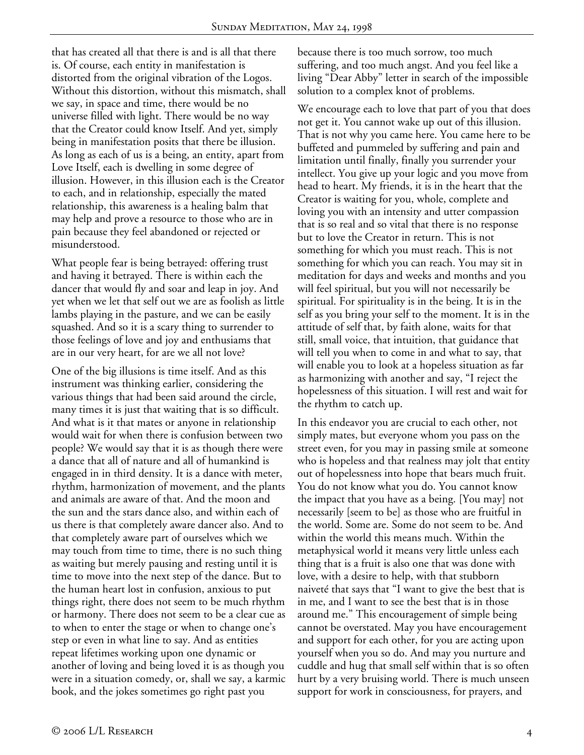that has created all that there is and is all that there is. Of course, each entity in manifestation is distorted from the original vibration of the Logos. Without this distortion, without this mismatch, shall we say, in space and time, there would be no universe filled with light. There would be no way that the Creator could know Itself. And yet, simply being in manifestation posits that there be illusion. As long as each of us is a being, an entity, apart from Love Itself, each is dwelling in some degree of illusion. However, in this illusion each is the Creator to each, and in relationship, especially the mated relationship, this awareness is a healing balm that may help and prove a resource to those who are in pain because they feel abandoned or rejected or misunderstood.

What people fear is being betrayed: offering trust and having it betrayed. There is within each the dancer that would fly and soar and leap in joy. And yet when we let that self out we are as foolish as little lambs playing in the pasture, and we can be easily squashed. And so it is a scary thing to surrender to those feelings of love and joy and enthusiams that are in our very heart, for are we all not love?

One of the big illusions is time itself. And as this instrument was thinking earlier, considering the various things that had been said around the circle, many times it is just that waiting that is so difficult. And what is it that mates or anyone in relationship would wait for when there is confusion between two people? We would say that it is as though there were a dance that all of nature and all of humankind is engaged in in third density. It is a dance with meter, rhythm, harmonization of movement, and the plants and animals are aware of that. And the moon and the sun and the stars dance also, and within each of us there is that completely aware dancer also. And to that completely aware part of ourselves which we may touch from time to time, there is no such thing as waiting but merely pausing and resting until it is time to move into the next step of the dance. But to the human heart lost in confusion, anxious to put things right, there does not seem to be much rhythm or harmony. There does not seem to be a clear cue as to when to enter the stage or when to change one's step or even in what line to say. And as entities repeat lifetimes working upon one dynamic or another of loving and being loved it is as though you were in a situation comedy, or, shall we say, a karmic book, and the jokes sometimes go right past you

because there is too much sorrow, too much suffering, and too much angst. And you feel like a living "Dear Abby" letter in search of the impossible solution to a complex knot of problems.

We encourage each to love that part of you that does not get it. You cannot wake up out of this illusion. That is not why you came here. You came here to be buffeted and pummeled by suffering and pain and limitation until finally, finally you surrender your intellect. You give up your logic and you move from head to heart. My friends, it is in the heart that the Creator is waiting for you, whole, complete and loving you with an intensity and utter compassion that is so real and so vital that there is no response but to love the Creator in return. This is not something for which you must reach. This is not something for which you can reach. You may sit in meditation for days and weeks and months and you will feel spiritual, but you will not necessarily be spiritual. For spirituality is in the being. It is in the self as you bring your self to the moment. It is in the attitude of self that, by faith alone, waits for that still, small voice, that intuition, that guidance that will tell you when to come in and what to say, that will enable you to look at a hopeless situation as far as harmonizing with another and say, "I reject the hopelessness of this situation. I will rest and wait for the rhythm to catch up.

In this endeavor you are crucial to each other, not simply mates, but everyone whom you pass on the street even, for you may in passing smile at someone who is hopeless and that realness may jolt that entity out of hopelessness into hope that bears much fruit. You do not know what you do. You cannot know the impact that you have as a being. [You may] not necessarily [seem to be] as those who are fruitful in the world. Some are. Some do not seem to be. And within the world this means much. Within the metaphysical world it means very little unless each thing that is a fruit is also one that was done with love, with a desire to help, with that stubborn naiveté that says that "I want to give the best that is in me, and I want to see the best that is in those around me." This encouragement of simple being cannot be overstated. May you have encouragement and support for each other, for you are acting upon yourself when you so do. And may you nurture and cuddle and hug that small self within that is so often hurt by a very bruising world. There is much unseen support for work in consciousness, for prayers, and